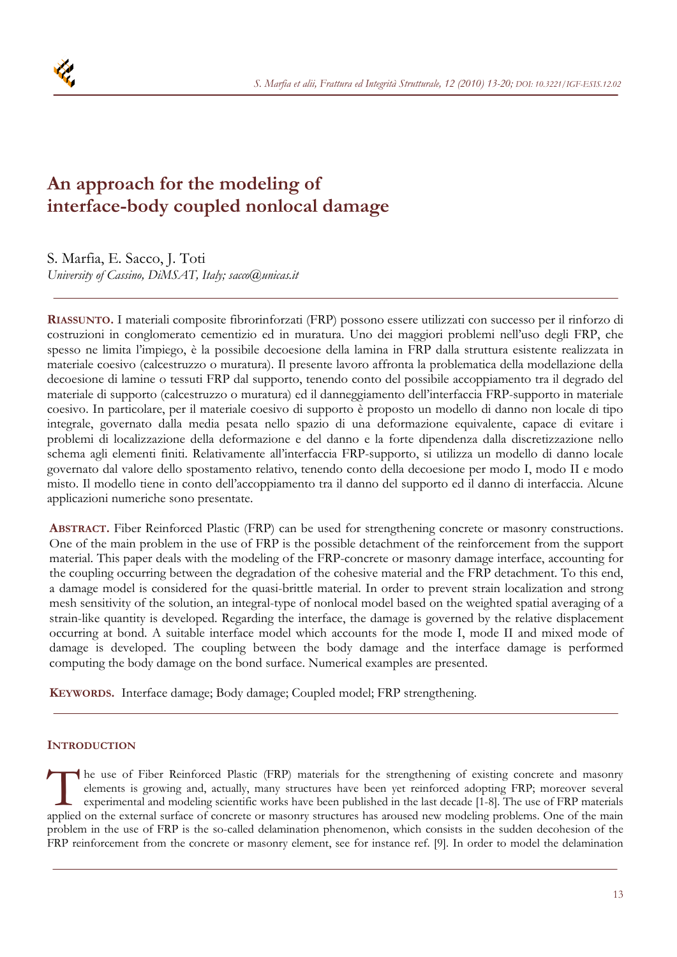

# **An approach for the modeling of interface-body coupled nonlocal damage**

S. Marfia, E. Sacco, J. Toti *University of Cassino, DiMSAT, Italy; sacco@unicas.it* 

**RIASSUNTO.** I materiali composite fibrorinforzati (FRP) possono essere utilizzati con successo per il rinforzo di costruzioni in conglomerato cementizio ed in muratura. Uno dei maggiori problemi nell'uso degli FRP, che spesso ne limita l'impiego, è la possibile decoesione della lamina in FRP dalla struttura esistente realizzata in materiale coesivo (calcestruzzo o muratura). Il presente lavoro affronta la problematica della modellazione della decoesione di lamine o tessuti FRP dal supporto, tenendo conto del possibile accoppiamento tra il degrado del materiale di supporto (calcestruzzo o muratura) ed il danneggiamento dell'interfaccia FRP-supporto in materiale coesivo. In particolare, per il materiale coesivo di supporto è proposto un modello di danno non locale di tipo integrale, governato dalla media pesata nello spazio di una deformazione equivalente, capace di evitare i problemi di localizzazione della deformazione e del danno e la forte dipendenza dalla discretizzazione nello schema agli elementi finiti. Relativamente all'interfaccia FRP-supporto, si utilizza un modello di danno locale governato dal valore dello spostamento relativo, tenendo conto della decoesione per modo I, modo II e modo misto. Il modello tiene in conto dell'accoppiamento tra il danno del supporto ed il danno di interfaccia. Alcune applicazioni numeriche sono presentate.

**ABSTRACT.** Fiber Reinforced Plastic (FRP) can be used for strengthening concrete or masonry constructions. One of the main problem in the use of FRP is the possible detachment of the reinforcement from the support material. This paper deals with the modeling of the FRP-concrete or masonry damage interface, accounting for the coupling occurring between the degradation of the cohesive material and the FRP detachment. To this end, a damage model is considered for the quasi-brittle material. In order to prevent strain localization and strong mesh sensitivity of the solution, an integral-type of nonlocal model based on the weighted spatial averaging of a strain-like quantity is developed. Regarding the interface, the damage is governed by the relative displacement occurring at bond. A suitable interface model which accounts for the mode I, mode II and mixed mode of damage is developed. The coupling between the body damage and the interface damage is performed computing the body damage on the bond surface. Numerical examples are presented.

**KEYWORDS.** Interface damage; Body damage; Coupled model; FRP strengthening.

# **INTRODUCTION**

he use of Fiber Reinforced Plastic (FRP) materials for the strengthening of existing concrete and masonry elements is growing and, actually, many structures have been yet reinforced adopting FRP; moreover several experimental and modeling scientific works have been published in the last decade [\[1-8\].](#page-7-0) The use of FRP materials The use of Fiber Reinforced Plastic (FRP) materials for the strengthening of existing concrete and masonry elements is growing and, actually, many structures have been yet reinforced adopting FRP; moreover several experime problem in the use of FRP is the so-called delamination phenomenon, which consists in the sudden decohesion of the FRP reinforcement from the concrete or masonry element, see for instance [ref. \[9\].](#page-7-0) In order to model the delamination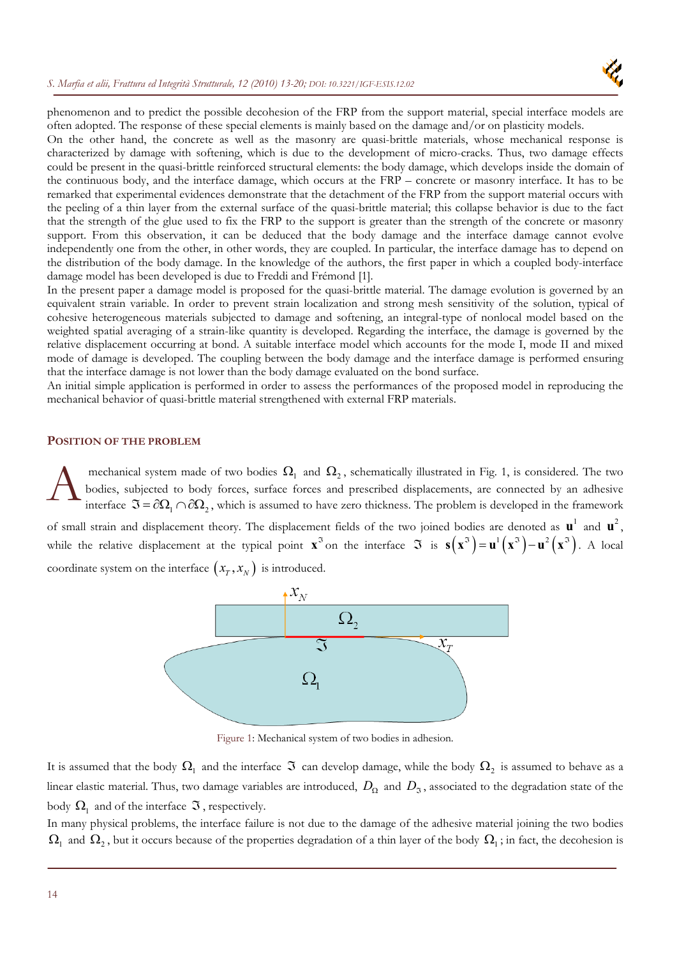#### *S. Marfia et alii, Frattura ed Integrità Strutturale, 12 (2010) 13-20; [DOI: 10.3221/IGF-ESIS.12.02](http://dx.medra.org/10.3221/IGF-ESIS.12.02&auth=true)*



phenomenon and to predict the possible decohesion of the FRP from the support material, special interface models are often adopted. The response of these special elements is mainly based on the damage and/or on plasticity models.

On the other hand, the concrete as well as the masonry are quasi-brittle materials, whose mechanical response is characterized by damage with softening, which is due to the development of micro-cracks. Thus, two damage effects could be present in the quasi-brittle reinforced structural elements: the body damage, which develops inside the domain of the continuous body, and the interface damage, which occurs at the FRP – concrete or masonry interface. It has to be remarked that experimental evidences demonstrate that the detachment of the FRP from the support material occurs with the peeling of a thin layer from the external surface of the quasi-brittle material; this collapse behavior is due to the fact that the strength of the glue used to fix the FRP to the support is greater than the strength of the concrete or masonry support. From this observation, it can be deduced that the body damage and the interface damage cannot evolve independently one from the other, in other words, they are coupled. In particular, the interface damage has to depend on the distribution of the body damage. In the knowledge of the authors, the first paper in which a coupled body-interface damage model has been developed is due to [Freddi and Frémond \[1\].](#page-7-0)

In the present paper a damage model is proposed for the quasi-brittle material. The damage evolution is governed by an equivalent strain variable. In order to prevent strain localization and strong mesh sensitivity of the solution, typical of cohesive heterogeneous materials subjected to damage and softening, an integral-type of nonlocal model based on the weighted spatial averaging of a strain-like quantity is developed. Regarding the interface, the damage is governed by the relative displacement occurring at bond. A suitable interface model which accounts for the mode I, mode II and mixed mode of damage is developed. The coupling between the body damage and the interface damage is performed ensuring that the interface damage is not lower than the body damage evaluated on the bond surface.

An initial simple application is performed in order to assess the performances of the proposed model in reproducing the mechanical behavior of quasi-brittle material strengthened with external FRP materials.

## **POSITION OF THE PROBLEM**

mechanical system made of two bodies  $\Omega_1$  and  $\Omega_2$ , schematically illustrated in Fig. 1, is considered. The two bodies, subjected to body forces, surface forces and prescribed displacements, are connected by an adhesive interface  $\Im = \partial \Omega_1 \cap \partial \Omega_2$ , which is assumed to have zero thickness. The problem is developed in the framework of small strain and displacement theory. The displacement fields of the two joined bodies are denoted as  $\mathbf{u}^1$  and  $\mathbf{u}^2$ , while the relative displacement at the typical point  $\mathbf{x}^3$  on the interface  $\mathbf{\Im}$  is  $\mathbf{s}(\mathbf{x}^3) = \mathbf{u}^1(\mathbf{x}^3) - \mathbf{u}^2(\mathbf{x}^3)$ . A local coordinate system on the interface  $(x_T, x_N)$  is introduced.  $\mathbf{A}^{\tiny \text{nc}}_{\tiny \text{in}}$ 



Figure 1: Mechanical system of two bodies in adhesion.

It is assumed that the body  $\Omega_1$  and the interface  $\Im$  can develop damage, while the body  $\Omega_2$  is assumed to behave as a linear elastic material. Thus, two damage variables are introduced,  $D_{\Omega}$  and  $D_{\Omega}$ , associated to the degradation state of the body  $\Omega_1$  and of the interface  $\mathfrak{I}$ , respectively.

In many physical problems, the interface failure is not due to the damage of the adhesive material joining the two bodies  $\Omega_1$  and  $\Omega_2$ , but it occurs because of the properties degradation of a thin layer of the body  $\Omega_1$ ; in fact, the decohesion is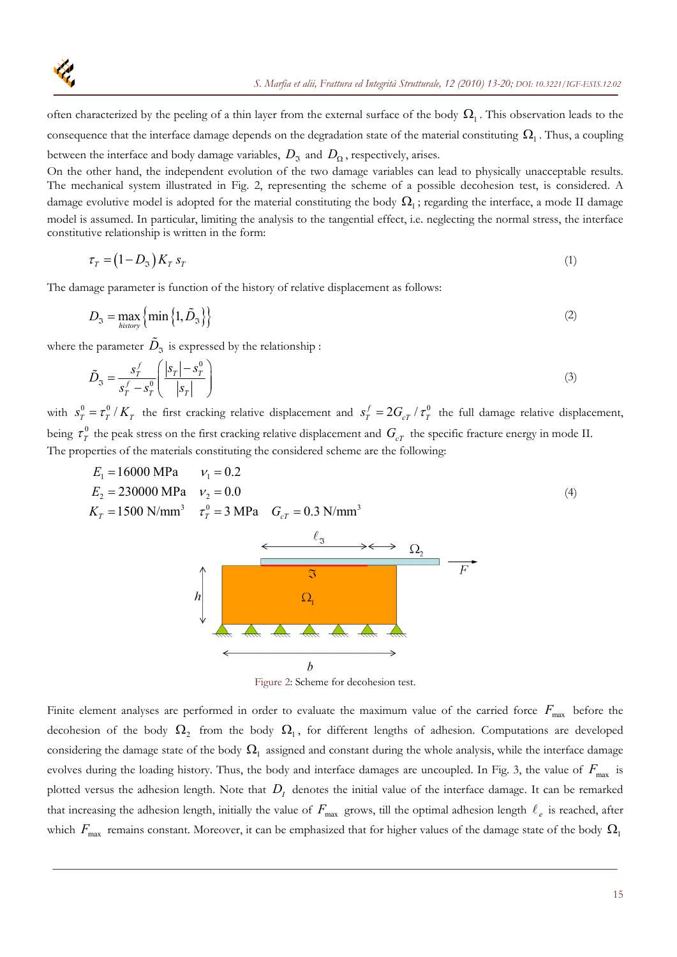

often characterized by the peeling of a thin layer from the external surface of the body  $\Omega_1$ . This observation leads to the consequence that the interface damage depends on the degradation state of the material constituting  $\Omega_1$ . Thus, a coupling between the interface and body damage variables,  $D_3$  and  $D_0$ , respectively, arises.

On the other hand, the independent evolution of the two damage variables can lead to physically unacceptable results. The mechanical system illustrated in Fig. 2, representing the scheme of a possible decohesion test, is considered. A damage evolutive model is adopted for the material constituting the body  $\Omega_1$ ; regarding the interface, a mode II damage model is assumed. In particular, limiting the analysis to the tangential effect, i.e. neglecting the normal stress, the interface constitutive relationship is written in the form:

$$
\tau_T = (1 - D_{\mathfrak{I}}) K_T s_T \tag{1}
$$

The damage parameter is function of the history of relative displacement as follows:

$$
D_{\mathfrak{I}} = \max_{\text{history}} \left\{ \min \left\{ 1, \tilde{D}_{\mathfrak{I}} \right\} \right\} \tag{2}
$$

where the parameter  $\tilde{D}_{\mathfrak{I}}$  is expressed by the relationship :

$$
\tilde{D}_{\mathfrak{I}} = \frac{s_T^f}{s_T^f - s_T^0} \left( \frac{|s_T| - s_T^0}{|s_T|} \right) \tag{3}
$$

with  $s_T^0 = \tau_T^0 / K_T$  the first cracking relative displacement and  $s_T^f = 2G_{cT}/\tau_T^0$  the full damage relative displacement, being  $\tau^0_T$  the peak stress on the first cracking relative displacement and  $G_{cT}$  the specific fracture energy in mode II. The properties of the materials constituting the considered scheme are the following:

1 1 2 2 30 3 16000 MPa 0.2 230000 MPa 0.0 *T T cT* 1500 N/mm 3 MPa 0.3 N/mm *E E K G* (4)

Figure 2: Scheme for decohesion test.

Finite element analyses are performed in order to evaluate the maximum value of the carried force  $F_{\text{max}}$  before the decohesion of the body  $\Omega_2$  from the body  $\Omega_1$ , for different lengths of adhesion. Computations are developed considering the damage state of the body  $\Omega_1$  assigned and constant during the whole analysis, while the interface damage evolves during the loading history. Thus, the body and interface damages are uncoupled. In [Fig. 3,](#page-3-0) the value of  $F_{\text{max}}$  is plotted versus the adhesion length. Note that  $D<sub>I</sub>$  denotes the initial value of the interface damage. It can be remarked that increasing the adhesion length, initially the value of  $F_{\text{max}}$  grows, till the optimal adhesion length  $\ell_e$  is reached, after which  $F_{\text{max}}$  remains constant. Moreover, it can be emphasized that for higher values of the damage state of the body  $\Omega_1$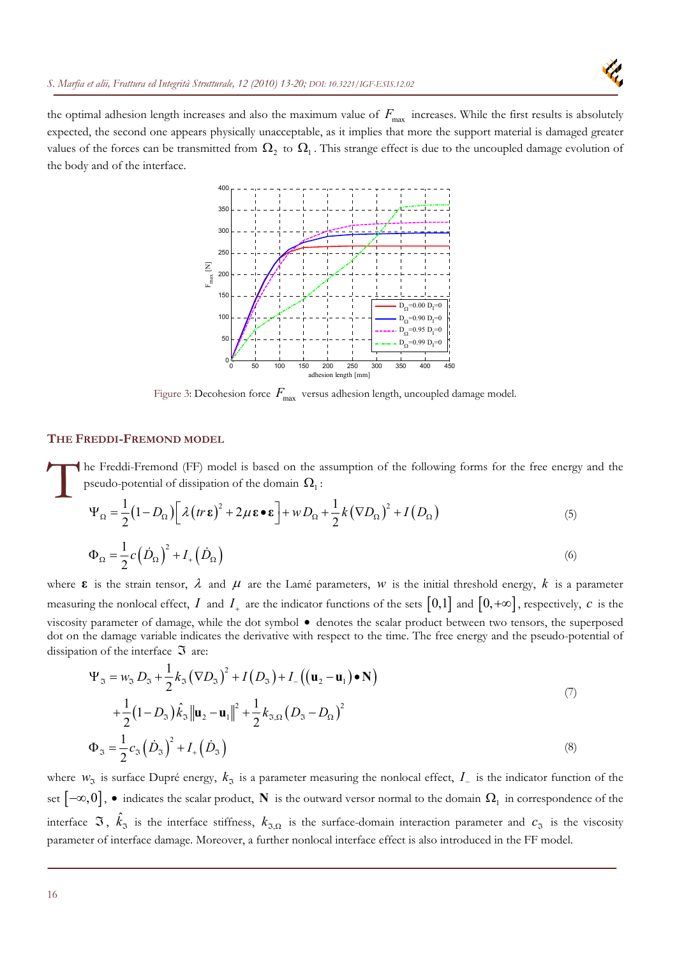

<span id="page-3-0"></span>the optimal adhesion length increases and also the maximum value of  $F_{\text{max}}$  increases. While the first results is absolutely expected, the second one appears physically unacceptable, as it implies that more the support material is damaged greater values of the forces can be transmitted from  $\Omega_2$  to  $\Omega_1$ . This strange effect is due to the uncoupled damage evolution of the body and of the interface.



Figure 3: Decohesion force  $F_{\text{max}}$  versus adhesion length, uncoupled damage model.

#### **THE FREDDI-FREMOND MODEL**

he Freddi-Fremond (FF) model is based on the assumption of the following forms for the free energy and the pseudo-potential of dissipation of the domain  $\Omega_1$ :  $\prod^{\text{he}}$ 

$$
\Psi_{\Omega} = \frac{1}{2} (1 - D_{\Omega}) \left[ \lambda \left( tr \mathbf{\varepsilon} \right)^{2} + 2 \mu \mathbf{\varepsilon} \bullet \mathbf{\varepsilon} \right] + w D_{\Omega} + \frac{1}{2} k \left( \nabla D_{\Omega} \right)^{2} + I \left( D_{\Omega} \right) \tag{5}
$$

$$
\Phi_{\Omega} = \frac{1}{2}c(\dot{D}_{\Omega})^2 + I_+\left(\dot{D}_{\Omega}\right) \tag{6}
$$

where  $\varepsilon$  is the strain tensor,  $\lambda$  and  $\mu$  are the Lamé parameters,  $w$  is the initial threshold energy,  $k$  is a parameter measuring the nonlocal effect, *I* and  $I_{\perp}$  are the indicator functions of the sets  $[0,1]$  and  $[0,+\infty]$ , respectively, *c* is the viscosity parameter of damage, while the dot symbol  $\bullet$  denotes the scalar product between two tensors, the superposed dot on the damage variable indicates the derivative with respect to the time. The free energy and the pseudo-potential of dissipation of the interface  $\Im$  are:

$$
\Psi_{3} = w_{3} D_{3} + \frac{1}{2} k_{3} (\nabla D_{3})^{2} + I (D_{3}) + I_{-} ((\mathbf{u}_{2} - \mathbf{u}_{1}) \cdot \mathbf{N})
$$
  
+ 
$$
\frac{1}{2} (1 - D_{3}) \hat{k}_{3} ||\mathbf{u}_{2} - \mathbf{u}_{1}||^{2} + \frac{1}{2} k_{3,\Omega} (D_{3} - D_{\Omega})^{2}
$$
  

$$
\Phi_{3} = \frac{1}{2} c_{3} (\dot{D}_{3})^{2} + I_{+} (\dot{D}_{3})
$$
(8)

where  $w_{\alpha}$  is surface Dupré energy,  $k_{\alpha}$  is a parameter measuring the nonlocal effect,  $I_{\alpha}$  is the indicator function of the set  $[-\infty, 0]$ ,  $\bullet$  indicates the scalar product, **N** is the outward versor normal to the domain  $\Omega_1$  in correspondence of the interface  $\Im$  ,  $\hat k_\Im$  is the interface stiffness,  $k_{\Im,\Omega}$  is the surface-domain interaction parameter and  $c_\Im$  is the viscosity parameter of interface damage. Moreover, a further nonlocal interface effect is also introduced in the FF model.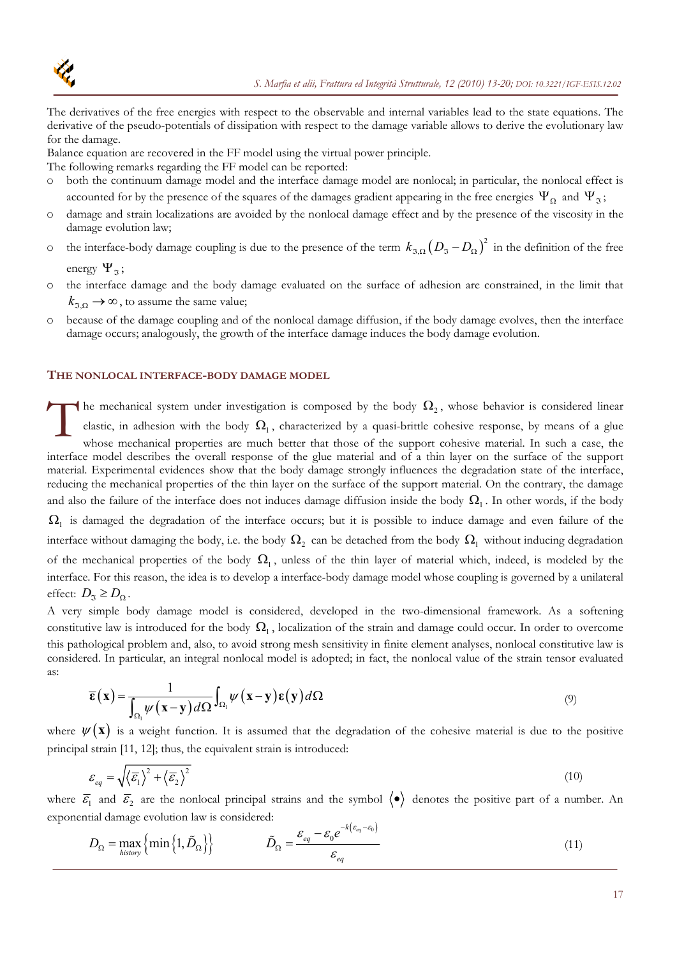

The derivatives of the free energies with respect to the observable and internal variables lead to the state equations. The derivative of the pseudo-potentials of dissipation with respect to the damage variable allows to derive the evolutionary law for the damage.

Balance equation are recovered in the FF model using the virtual power principle.

The following remarks regarding the FF model can be reported:

- o both the continuum damage model and the interface damage model are nonlocal; in particular, the nonlocal effect is accounted for by the presence of the squares of the damages gradient appearing in the free energies  $\Psi_{\Omega}$  and  $\Psi_{\Im}$ ;
- o damage and strain localizations are avoided by the nonlocal damage effect and by the presence of the viscosity in the damage evolution law;
- o the interface-body damage coupling is due to the presence of the term  $k_{\mathfrak{I},\Omega}(D_5-D_{{}_{\Omega}})^2$  in the definition of the free energy  $\Psi_{\mathfrak{I}}$ ;
- o the interface damage and the body damage evaluated on the surface of adhesion are constrained, in the limit that  $k_{\mathfrak{A},\Omega} \to \infty$ , to assume the same value;
- o because of the damage coupling and of the nonlocal damage diffusion, if the body damage evolves, then the interface damage occurs; analogously, the growth of the interface damage induces the body damage evolution.

#### **THE NONLOCAL INTERFACE-BODY DAMAGE MODEL**

The mechanical system under investigation is composed by the body  $\Omega_2$ , whose behavior is considered linear elastic, in adhesion with the body  $\Omega_1$ , characterized by a quasi-brittle cohesive response, by means of a gl elastic, in adhesion with the body  $\Omega_1$ , characterized by a quasi-brittle cohesive response, by means of a glue whose mechanical properties are much better that those of the support cohesive material. In such a case, the interface model describes the overall response of the glue material and of a thin layer on the surface of the support material. Experimental evidences show that the body damage strongly influences the degradation state of the interface, reducing the mechanical properties of the thin layer on the surface of the support material. On the contrary, the damage and also the failure of the interface does not induces damage diffusion inside the body  $\Omega_1$ . In other words, if the body  $\Omega_1$  is damaged the degradation of the interface occurs; but it is possible to induce damage and even failure of the interface without damaging the body, i.e. the body  $\Omega_2$  can be detached from the body  $\Omega_1$  without inducing degradation of the mechanical properties of the body  $\Omega_1$ , unless of the thin layer of material which, indeed, is modeled by the interface. For this reason, the idea is to develop a interface-body damage model whose coupling is governed by a unilateral effect:  $D_{\gamma} \geq D_{\gamma}$ .

A very simple body damage model is considered, developed in the two-dimensional framework. As a softening constitutive law is introduced for the body  $\Omega_1$ , localization of the strain and damage could occur. In order to overcome this pathological problem and, also, to avoid strong mesh sensitivity in finite element analyses, nonlocal constitutive law is considered. In particular, an integral nonlocal model is adopted; in fact, the nonlocal value of the strain tensor evaluated as:

$$
\overline{\mathbf{\varepsilon}}(\mathbf{x}) = \frac{1}{\int_{\Omega_1} \psi(\mathbf{x} - \mathbf{y}) d\Omega} \int_{\Omega_1} \psi(\mathbf{x} - \mathbf{y}) \mathbf{\varepsilon}(\mathbf{y}) d\Omega
$$
\n(9)

where  $\psi(\mathbf{x})$  is a weight function. It is assumed that the degradation of the cohesive material is due to the positive principal strain [11, 12]; thus, the equivalent strain is introduced:

$$
\varepsilon_{eq} = \sqrt{\left\langle \overline{\varepsilon_1} \right\rangle^2 + \left\langle \overline{\varepsilon_2} \right\rangle^2} \tag{10}
$$

where  $\overline{\varepsilon}_1$  and  $\overline{\varepsilon}_2$  are the nonlocal principal strains and the symbol  $\langle \bullet \rangle$  denotes the positive part of a number. An exponential damage evolution law is considered:

$$
D_{\Omega} = \max_{history} \{ \min \{ 1, \tilde{D}_{\Omega} \} \} \qquad \qquad \tilde{D}_{\Omega} = \frac{\varepsilon_{eq} - \varepsilon_0 e^{-k(\varepsilon_{eq} - \varepsilon_0)}}{\varepsilon_{eq}} \qquad (11)
$$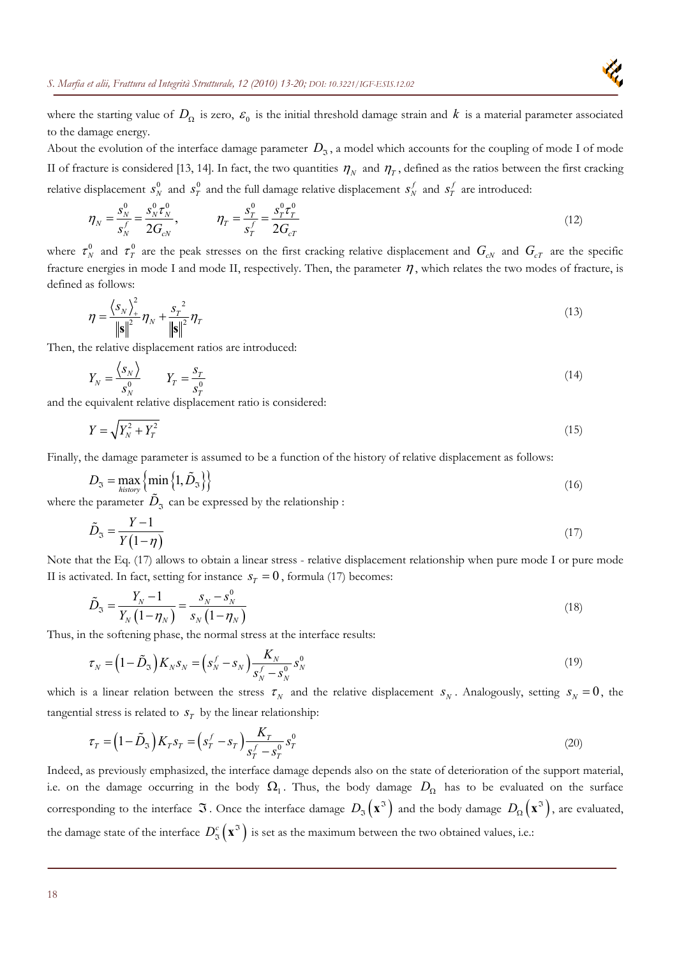

where the starting value of  $D_{\Omega}$  is zero,  $\varepsilon_0$  is the initial threshold damage strain and  $k$  is a material parameter associated to the damage energy.

About the evolution of the interface damage parameter  $D_3$ , a model which accounts for the coupling of mode I of mode II of fracture is considere[d \[13, 14\].](#page-7-0) In fact, the two quantities  $\eta_N$  and  $\eta_T$ , defined as the ratios between the first cracking relative displacement  $s_N^0$  and  $s_T^0$  and the full damage relative displacement  $s_N^f$  and  $s_T^f$  are introduced:

$$
\eta_N = \frac{s_N^0}{s_N^f} = \frac{s_N^0 \tau_N^0}{2G_{cN}}, \qquad \eta_T = \frac{s_T^0}{s_T^f} = \frac{s_T^0 \tau_T^0}{2G_{cT}}
$$
(12)

where  $\tau_N^0$  and  $\tau_T^0$  are the peak stresses on the first cracking relative displacement and  $G_{cN}$  and  $G_{cT}$  are the specific fracture energies in mode I and mode II, respectively. Then, the parameter  $\eta$ , which relates the two modes of fracture, is defined as follows:

$$
\eta = \frac{\left\langle s_N \right\rangle_+^2}{\left\| \mathbf{s} \right\|^2} \eta_N + \frac{s_T^2}{\left\| \mathbf{s} \right\|^2} \eta_T \tag{13}
$$

Then, the relative displacement ratios are introduced:

$$
Y_N = \frac{\langle s_N \rangle}{s_N^0} \qquad Y_T = \frac{s_T}{s_T^0} \tag{14}
$$

and the equivalent relative displacement ratio is considered:

$$
Y = \sqrt{Y_N^2 + Y_T^2} \tag{15}
$$

Finally, the damage parameter is assumed to be a function of the history of relative displacement as follows:

$$
D_{\mathfrak{I}} = \max_{\text{history}} \left\{ \min_{\mathbf{z}} \left\{ 1, \tilde{D}_{\mathfrak{I}} \right\} \right\} \tag{16}
$$

where the parameter  $\tilde{D}_3$  can be expressed by the relationship :

$$
\tilde{D}_{\mathfrak{I}} = \frac{Y - 1}{Y(1 - \eta)}\tag{17}
$$

Note that the Eq. (17) allows to obtain a linear stress - relative displacement relationship when pure mode I or pure mode II is activated. In fact, setting for instance  $s_T = 0$ , formula (17) becomes:

$$
\tilde{D}_{3} = \frac{Y_{N} - 1}{Y_{N} (1 - \eta_{N})} = \frac{s_{N} - s_{N}^{0}}{s_{N} (1 - \eta_{N})}
$$
\n(18)

Thus, in the softening phase, the normal stress at the interface results:

$$
\tau_N = \left(1 - \tilde{D}_3\right) K_N s_N = \left(s_N^f - s_N\right) \frac{K_N}{s_N^f - s_N^0} s_N^0 \tag{19}
$$

which is a linear relation between the stress  $\tau_N$  and the relative displacement  $s_N$ . Analogously, setting  $s_N = 0$ , the tangential stress is related to  $S_T$  by the linear relationship:

$$
\tau_T = \left(1 - \tilde{D}_3\right) K_T s_T = \left(s_T^f - s_T\right) \frac{K_T}{s_T^f - s_T^0} s_T^0 \tag{20}
$$

Indeed, as previously emphasized, the interface damage depends also on the state of deterioration of the support material, i.e. on the damage occurring in the body  $\Omega_1$ . Thus, the body damage  $D_{\Omega}$  has to be evaluated on the surface corresponding to the interface  $\Im$  . Once the interface damage  $D_{\Im}(\mathbf{x}^3)$  and the body damage  $D_{\Omega}(\mathbf{x}^3)$ , are evaluated, the damage state of the interface  $D^c_{\sigma}(\mathbf{x}^{\sigma})$  is set as the maximum between the two obtained values, i.e.: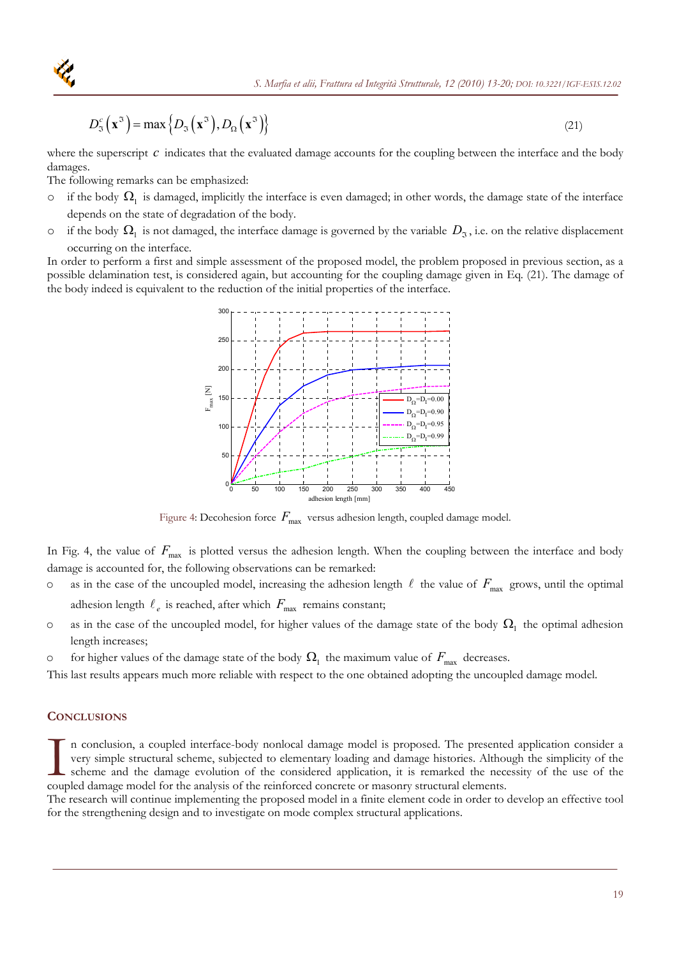

$$
D_{\mathfrak{I}}^{c}\left(\mathbf{x}^{\mathfrak{I}}\right)=\max\left\{D_{\mathfrak{I}}\left(\mathbf{x}^{\mathfrak{I}}\right),D_{\Omega}\left(\mathbf{x}^{\mathfrak{I}}\right)\right\}\tag{21}
$$

where the superscript *c* indicates that the evaluated damage accounts for the coupling between the interface and the body damages.

The following remarks can be emphasized:

- $\circ$  if the body  $\Omega_1$  is damaged, implicitly the interface is even damaged; in other words, the damage state of the interface depends on the state of degradation of the body.
- o if the body  $\Omega_1$  is not damaged, the interface damage is governed by the variable  $D_{\gamma}$ , i.e. on the relative displacement occurring on the interface.

In order to perform a first and simple assessment of the proposed model, the problem proposed in previous section, as a possible delamination test, is considered again, but accounting for the coupling damage given in Eq. (21). The damage of the body indeed is equivalent to the reduction of the initial properties of the interface.



Figure 4: Decohesion force  $F_{\text{max}}$  versus adhesion length, coupled damage model.

In Fig. 4, the value of  $F_{\text{max}}$  is plotted versus the adhesion length. When the coupling between the interface and body damage is accounted for, the following observations can be remarked:

- o as in the case of the uncoupled model, increasing the adhesion length  $\ell$  the value of  $F_{\text{max}}$  grows, until the optimal adhesion length  $\ell_e$  is reached, after which  $F_{\text{max}}$  remains constant;
- $\circ$  as in the case of the uncoupled model, for higher values of the damage state of the body  $\Omega_1$  the optimal adhesion length increases;
- o for higher values of the damage state of the body  $\Omega_1$  the maximum value of  $F_{\text{max}}$  decreases.

This last results appears much more reliable with respect to the one obtained adopting the uncoupled damage model.

### **CONCLUSIONS**

n conclusion, a coupled interface-body nonlocal damage model is proposed. The presented application consider a very simple structural scheme, subjected to elementary loading and damage histories. Although the simplicity of the scheme and the damage evolution of the considered application, it is remarked the necessity of the use of the In conclusion, a coupled interface-body nonlocal damage model is proposed. The presente very simple structural scheme, subjected to elementary loading and damage histories. Althouse scheme and the damage evolution of the c

The research will continue implementing the proposed model in a finite element code in order to develop an effective tool for the strengthening design and to investigate on mode complex structural applications.